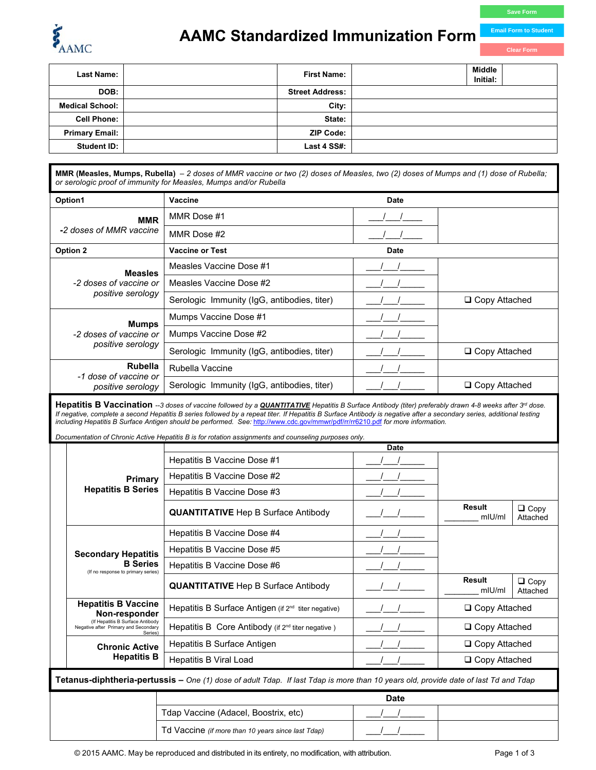

## *AAMC* **Standardized Immunization Form**

| <b>Last Name:</b>      | <b>First Name:</b>     | Middle<br>Initial: |
|------------------------|------------------------|--------------------|
| DOB:                   | <b>Street Address:</b> |                    |
| <b>Medical School:</b> | City:                  |                    |
| <b>Cell Phone:</b>     | State:                 |                    |
| <b>Primary Email:</b>  | <b>ZIP Code:</b>       |                    |
| <b>Student ID:</b>     | Last 4 SS#:            |                    |

**MMR (Measles, Mumps, Rubella)** *– 2 doses of MMR vaccine or two (2) doses of Measles, two (2) doses of Mumps and (1) dose of Rubella; or serologic proof of immunity for Measles, Mumps and/or Rubella*

| Option1                                 | Vaccine                                     | <b>Date</b> |                      |
|-----------------------------------------|---------------------------------------------|-------------|----------------------|
| <b>MMR</b>                              | MMR Dose #1                                 |             |                      |
| -2 doses of MMR vaccine                 | MMR Dose #2                                 |             |                      |
| Option 2                                | <b>Vaccine or Test</b>                      | <b>Date</b> |                      |
| <b>Measles</b>                          | Measles Vaccine Dose #1                     |             |                      |
| -2 doses of vaccine or                  | Measles Vaccine Dose #2                     |             |                      |
| positive serology                       | Serologic Immunity (IgG, antibodies, titer) |             | □ Copy Attached      |
| <b>Mumps</b>                            | Mumps Vaccine Dose #1                       |             |                      |
| -2 doses of vaccine or                  | Mumps Vaccine Dose #2                       |             |                      |
| positive serology                       | Serologic Immunity (IgG, antibodies, titer) |             | □ Copy Attached      |
| <b>Rubella</b><br>-1 dose of vaccine or | Rubella Vaccine                             |             |                      |
| positive serology                       | Serologic Immunity (IgG, antibodies, titer) |             | $\Box$ Copy Attached |

Hepatitis B Vaccination --3 doses of vaccine followed by a *QUANTITATIVE* Hepatitis B Surface Antibody (titer) preferably drawn 4-8 weeks after 3<sup>rd</sup> dose. If negative, complete a second Hepatitis B series followed by a repeat titer. If Hepatitis B Surface Antibody is negative after a secondary series, additional testing *including Hepatitis B Surface Antigen should be performed. See:* <http://www.cdc.gov/mmwr/pdf/rr/rr6210.pdf> *for more information.* 

*Documentation of Chronic Active Hepatitis B is for rotation assignments and counseling purposes only.* 

|                                                                                                                                            |                                                                                     | <b>Date</b>                                                     |  |                      |                         |  |
|--------------------------------------------------------------------------------------------------------------------------------------------|-------------------------------------------------------------------------------------|-----------------------------------------------------------------|--|----------------------|-------------------------|--|
|                                                                                                                                            |                                                                                     | Hepatitis B Vaccine Dose #1                                     |  |                      |                         |  |
|                                                                                                                                            | Primary                                                                             | Hepatitis B Vaccine Dose #2                                     |  |                      |                         |  |
|                                                                                                                                            | <b>Hepatitis B Series</b>                                                           | Hepatitis B Vaccine Dose #3                                     |  |                      |                         |  |
|                                                                                                                                            |                                                                                     | <b>QUANTITATIVE</b> Hep B Surface Antibody                      |  | Result<br>$ml$ U/ml  | $\Box$ Copy<br>Attached |  |
|                                                                                                                                            |                                                                                     | Hepatitis B Vaccine Dose #4                                     |  |                      |                         |  |
|                                                                                                                                            | <b>Secondary Hepatitis</b>                                                          | Hepatitis B Vaccine Dose #5                                     |  |                      |                         |  |
|                                                                                                                                            | <b>B</b> Series<br>(If no response to primary series)                               | Hepatitis B Vaccine Dose #6                                     |  |                      |                         |  |
|                                                                                                                                            |                                                                                     | <b>QUANTITATIVE</b> Hep B Surface Antibody                      |  | Result<br>$m$ IU/ml  | $\Box$ Copy<br>Attached |  |
|                                                                                                                                            | <b>Hepatitis B Vaccine</b><br>Non-responder                                         | Hepatitis B Surface Antigen (if 2 <sup>nd</sup> titer negative) |  | $\Box$ Copy Attached |                         |  |
|                                                                                                                                            | (If Hepatitis B Surface Antibody<br>Negative after Primary and Secondary<br>Series) | Hepatitis B Core Antibody (if $2^{nd}$ titer negative)          |  | $\Box$ Copy Attached |                         |  |
|                                                                                                                                            | <b>Chronic Active</b>                                                               | Hepatitis B Surface Antigen                                     |  | $\Box$ Copy Attached |                         |  |
|                                                                                                                                            | <b>Hepatitis B</b>                                                                  | <b>Hepatitis B Viral Load</b>                                   |  | □ Copy Attached      |                         |  |
| <b>Tetanus-diphtheria-pertussis –</b> One (1) dose of adult Tdap. If last Tdap is more than 10 years old, provide date of last Td and Tdap |                                                                                     |                                                                 |  |                      |                         |  |

| Date                                               |  |  |
|----------------------------------------------------|--|--|
| Tdap Vaccine (Adacel, Boostrix, etc)               |  |  |
| Td Vaccine (if more than 10 years since last Tdap) |  |  |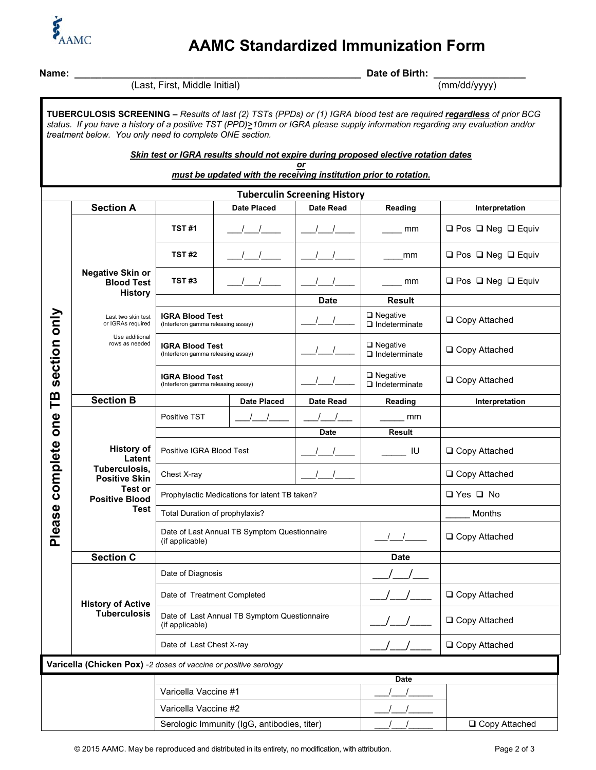

## **AAMC Standardized Immunization Form**

| Name:                                                                                                                                                                                                                                                                                                           |                                                                                     | (Last, First, Middle Initial)                                                            |                                  |                  | Date of Birth:                             |                                    |  |
|-----------------------------------------------------------------------------------------------------------------------------------------------------------------------------------------------------------------------------------------------------------------------------------------------------------------|-------------------------------------------------------------------------------------|------------------------------------------------------------------------------------------|----------------------------------|------------------|--------------------------------------------|------------------------------------|--|
|                                                                                                                                                                                                                                                                                                                 |                                                                                     |                                                                                          |                                  | (mm/dd/yyyy)     |                                            |                                    |  |
| TUBERCULOSIS SCREENING - Results of last (2) TSTs (PPDs) or (1) IGRA blood test are required regardless of prior BCG<br>status. If you have a history of a positive TST (PPD)>10mm or IGRA please supply information regarding any evaluation and/or<br>treatment below. You only need to complete ONE section. |                                                                                     |                                                                                          |                                  |                  |                                            |                                    |  |
|                                                                                                                                                                                                                                                                                                                 | Skin test or IGRA results should not expire during proposed elective rotation dates |                                                                                          |                                  |                  |                                            |                                    |  |
| or<br>must be updated with the receiving institution prior to rotation.                                                                                                                                                                                                                                         |                                                                                     |                                                                                          |                                  |                  |                                            |                                    |  |
| <b>Tuberculin Screening History</b>                                                                                                                                                                                                                                                                             |                                                                                     |                                                                                          |                                  |                  |                                            |                                    |  |
|                                                                                                                                                                                                                                                                                                                 | <b>Section A</b><br><b>Date Placed</b>                                              |                                                                                          | <b>Date Read</b>                 | Reading          | Interpretation                             |                                    |  |
|                                                                                                                                                                                                                                                                                                                 |                                                                                     | <b>TST#1</b>                                                                             |                                  |                  | mm                                         | $\Box$ Pos $\Box$ Neg $\Box$ Equiv |  |
|                                                                                                                                                                                                                                                                                                                 |                                                                                     | <b>TST#2</b>                                                                             |                                  |                  | mm                                         | $\Box$ Pos $\Box$ Neg $\Box$ Equiv |  |
|                                                                                                                                                                                                                                                                                                                 | <b>Negative Skin or</b><br><b>Blood Test</b><br><b>History</b>                      | TST#3                                                                                    | $\begin{array}{ccc} \end{array}$ |                  | mm                                         | $\Box$ Pos $\Box$ Neg $\Box$ Equiv |  |
|                                                                                                                                                                                                                                                                                                                 |                                                                                     |                                                                                          |                                  | <b>Date</b>      | <b>Result</b>                              |                                    |  |
|                                                                                                                                                                                                                                                                                                                 | Last two skin test<br>or IGRAs required<br>Use additional<br>rows as needed         | <b>IGRA Blood Test</b><br>(Interferon gamma releasing assay)                             |                                  |                  | $\Box$ Negative<br>$\Box$ Indeterminate    | □ Copy Attached                    |  |
| section only                                                                                                                                                                                                                                                                                                    |                                                                                     | <b>IGRA Blood Test</b><br>(Interferon gamma releasing assay)                             |                                  |                  | $\square$ Negative<br>$\Box$ Indeterminate | □ Copy Attached                    |  |
|                                                                                                                                                                                                                                                                                                                 |                                                                                     | <b>IGRA Blood Test</b><br>(Interferon gamma releasing assay)                             |                                  |                  | $\Box$ Negative<br>$\Box$ Indeterminate    | □ Copy Attached                    |  |
| TB                                                                                                                                                                                                                                                                                                              | <b>Section B</b>                                                                    |                                                                                          | <b>Date Placed</b>               | <b>Date Read</b> | Reading                                    | Interpretation                     |  |
| one                                                                                                                                                                                                                                                                                                             |                                                                                     | Positive TST                                                                             |                                  |                  | mm                                         |                                    |  |
|                                                                                                                                                                                                                                                                                                                 |                                                                                     |                                                                                          |                                  | Date             | Result                                     |                                    |  |
| complete                                                                                                                                                                                                                                                                                                        | <b>History of</b><br>Latent                                                         | Positive IGRA Blood Test<br>Chest X-ray<br>Prophylactic Medications for latent TB taken? |                                  |                  | IU                                         | □ Copy Attached                    |  |
|                                                                                                                                                                                                                                                                                                                 | Tuberculosis,<br><b>Positive Skin</b><br>Test or                                    |                                                                                          |                                  |                  |                                            | □ Copy Attached                    |  |
|                                                                                                                                                                                                                                                                                                                 | <b>Positive Blood</b>                                                               |                                                                                          |                                  |                  |                                            | $\Box$ Yes $\Box$ No               |  |
|                                                                                                                                                                                                                                                                                                                 | Test                                                                                | Total Duration of prophylaxis?                                                           |                                  |                  |                                            | Months                             |  |
| Please                                                                                                                                                                                                                                                                                                          |                                                                                     | Date of Last Annual TB Symptom Questionnaire<br>(if applicable)                          |                                  |                  | □ Copy Attached                            |                                    |  |
|                                                                                                                                                                                                                                                                                                                 | <b>Section C</b>                                                                    |                                                                                          |                                  |                  | <b>Date</b>                                |                                    |  |
|                                                                                                                                                                                                                                                                                                                 |                                                                                     | Date of Diagnosis                                                                        |                                  |                  |                                            |                                    |  |
|                                                                                                                                                                                                                                                                                                                 | <b>History of Active</b><br><b>Tuberculosis</b>                                     | Date of Treatment Completed                                                              |                                  |                  | □ Copy Attached                            |                                    |  |
|                                                                                                                                                                                                                                                                                                                 |                                                                                     | Date of Last Annual TB Symptom Questionnaire<br>(if applicable)                          |                                  |                  | □ Copy Attached                            |                                    |  |
|                                                                                                                                                                                                                                                                                                                 |                                                                                     | Date of Last Chest X-ray                                                                 |                                  |                  | □ Copy Attached                            |                                    |  |
| Varicella (Chicken Pox) -2 doses of vaccine or positive serology                                                                                                                                                                                                                                                |                                                                                     |                                                                                          |                                  |                  |                                            |                                    |  |
|                                                                                                                                                                                                                                                                                                                 |                                                                                     |                                                                                          |                                  |                  | <b>Date</b>                                |                                    |  |
|                                                                                                                                                                                                                                                                                                                 |                                                                                     | Varicella Vaccine #1                                                                     |                                  |                  |                                            |                                    |  |
|                                                                                                                                                                                                                                                                                                                 |                                                                                     | Varicella Vaccine #2                                                                     |                                  |                  |                                            |                                    |  |
|                                                                                                                                                                                                                                                                                                                 |                                                                                     | Serologic Immunity (IgG, antibodies, titer)                                              |                                  |                  | □ Copy Attached                            |                                    |  |